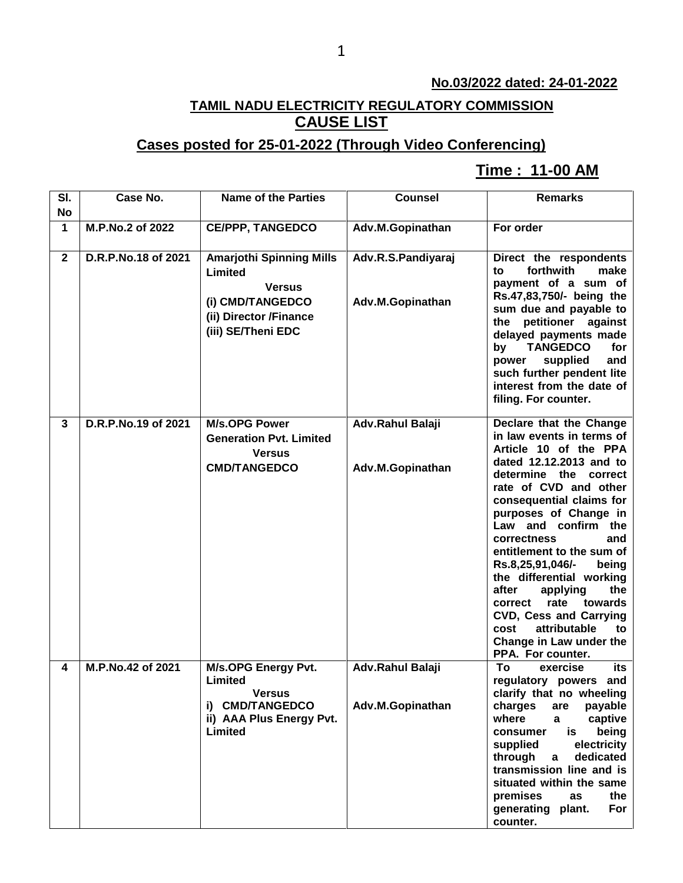## **No.03/2022 dated: 24-01-2022**

## **TAMIL NADU ELECTRICITY REGULATORY COMMISSION CAUSE LIST**

## **Cases posted for 25-01-2022 (Through Video Conferencing)**

## **Time : 11-00 AM[**

| SI.<br>No   | Case No.            | <b>Name of the Parties</b>                                                                                                      | <b>Counsel</b>                         | <b>Remarks</b>                                                                                                                                                                                                                                                                                                                                                                                                                                                                                                              |
|-------------|---------------------|---------------------------------------------------------------------------------------------------------------------------------|----------------------------------------|-----------------------------------------------------------------------------------------------------------------------------------------------------------------------------------------------------------------------------------------------------------------------------------------------------------------------------------------------------------------------------------------------------------------------------------------------------------------------------------------------------------------------------|
| 1           | M.P.No.2 of 2022    | <b>CE/PPP, TANGEDCO</b>                                                                                                         | Adv.M.Gopinathan                       | For order                                                                                                                                                                                                                                                                                                                                                                                                                                                                                                                   |
| $\mathbf 2$ | D.R.P.No.18 of 2021 | <b>Amarjothi Spinning Mills</b><br>Limited<br><b>Versus</b><br>(i) CMD/TANGEDCO<br>(ii) Director /Finance<br>(iii) SE/Theni EDC | Adv.R.S.Pandiyaraj<br>Adv.M.Gopinathan | Direct the respondents<br>forthwith<br>make<br>to<br>payment of a sum of<br>Rs.47,83,750/- being the<br>sum due and payable to<br>petitioner against<br>the<br>delayed payments made<br>by<br><b>TANGEDCO</b><br>for<br>supplied<br>power<br>and<br>such further pendent lite<br>interest from the date of<br>filing. For counter.                                                                                                                                                                                          |
| 3           | D.R.P.No.19 of 2021 | <b>M/s.OPG Power</b><br><b>Generation Pvt. Limited</b><br><b>Versus</b><br><b>CMD/TANGEDCO</b>                                  | Adv.Rahul Balaji<br>Adv.M.Gopinathan   | Declare that the Change<br>in law events in terms of<br>Article 10 of the PPA<br>dated 12.12.2013 and to<br>determine the correct<br>rate of CVD and other<br>consequential claims for<br>purposes of Change in<br>Law and confirm the<br>correctness<br>and<br>entitlement to the sum of<br>Rs.8,25,91,046/-<br>being<br>the differential working<br>after<br>applying<br>the<br>rate<br>towards<br>correct<br><b>CVD, Cess and Carrying</b><br>attributable<br>cost<br>to<br>Change in Law under the<br>PPA. For counter. |
| 4           | M.P.No.42 of 2021   | M/s.OPG Energy Pvt.<br>Limited<br><b>Versus</b><br>i) CMD/TANGEDCO<br>ii) AAA Plus Energy Pvt.<br>Limited                       | Adv.Rahul Balaji<br>Adv.M.Gopinathan   | To<br>its<br>exercise<br>regulatory powers and<br>clarify that no wheeling<br>payable<br>charges<br>are<br>where<br>captive<br>a<br>being<br>is<br>consumer<br>supplied<br>electricity<br>through<br>dedicated<br>a<br>transmission line and is<br>situated within the same<br>premises<br>as<br>the<br>generating plant.<br>For<br>counter.                                                                                                                                                                                |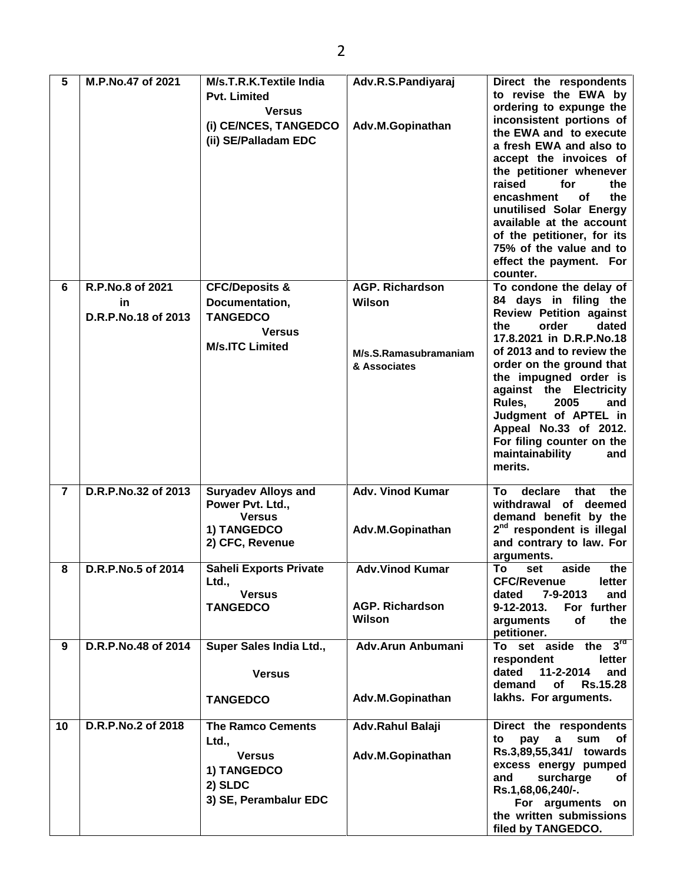| 5              | M.P.No.47 of 2021                             | M/s.T.R.K.Textile India<br><b>Pvt. Limited</b><br><b>Versus</b><br>(i) CE/NCES, TANGEDCO<br>(ii) SE/Palladam EDC | Adv.R.S.Pandiyaraj<br>Adv.M.Gopinathan                                    | Direct the respondents<br>to revise the EWA by<br>ordering to expunge the<br>inconsistent portions of<br>the EWA and to execute<br>a fresh EWA and also to<br>accept the invoices of<br>the petitioner whenever<br>raised<br>for<br>the<br>encashment<br>οf<br>the<br>unutilised Solar Energy<br>available at the account<br>of the petitioner, for its<br>75% of the value and to<br>effect the payment. For<br>counter. |
|----------------|-----------------------------------------------|------------------------------------------------------------------------------------------------------------------|---------------------------------------------------------------------------|---------------------------------------------------------------------------------------------------------------------------------------------------------------------------------------------------------------------------------------------------------------------------------------------------------------------------------------------------------------------------------------------------------------------------|
| 6              | R.P.No.8 of 2021<br>in<br>D.R.P.No.18 of 2013 | <b>CFC/Deposits &amp;</b><br>Documentation,<br><b>TANGEDCO</b><br><b>Versus</b><br><b>M/s.ITC Limited</b>        | <b>AGP. Richardson</b><br>Wilson<br>M/s.S.Ramasubramaniam<br>& Associates | To condone the delay of<br>84 days in filing the<br><b>Review Petition against</b><br>order<br>dated<br>the<br>17.8.2021 in D.R.P.No.18<br>of 2013 and to review the<br>order on the ground that<br>the impugned order is<br>against the Electricity<br>Rules,<br>2005<br>and<br>Judgment of APTEL in<br>Appeal No.33 of 2012.<br>For filing counter on the<br>maintainability<br>and<br>merits.                          |
| $\overline{7}$ | D.R.P.No.32 of 2013                           | <b>Suryadev Alloys and</b><br>Power Pvt. Ltd.,<br><b>Versus</b><br>1) TANGEDCO<br>2) CFC, Revenue                | <b>Adv. Vinod Kumar</b><br>Adv.M.Gopinathan                               | declare<br>that<br>the<br>To<br>withdrawal of deemed<br>demand benefit by the<br>2 <sup>nd</sup> respondent is illegal<br>and contrary to law. For<br>arguments.                                                                                                                                                                                                                                                          |
| 8              | D.R.P.No.5 of 2014                            | <b>Saheli Exports Private</b><br>Ltd.,<br><b>Versus</b><br><b>TANGEDCO</b>                                       | <b>Adv.Vinod Kumar</b><br><b>AGP. Richardson</b><br><b>Wilson</b>         | To<br>aside<br>the<br>set<br><b>CFC/Revenue</b><br>letter<br>7-9-2013<br>dated<br>and<br>9-12-2013.<br>For further<br>of<br>arguments<br>the<br>petitioner.                                                                                                                                                                                                                                                               |
| 9              | D.R.P.No.48 of 2014                           | Super Sales India Ltd.,<br><b>Versus</b><br><b>TANGEDCO</b>                                                      | Adv.Arun Anbumani<br>Adv.M.Gopinathan                                     | To set aside the 3rd<br>respondent<br>letter<br>11-2-2014<br>dated<br>and<br><b>Rs.15.28</b><br>demand<br>of<br>lakhs. For arguments.                                                                                                                                                                                                                                                                                     |
| 10             | D.R.P.No.2 of 2018                            | <b>The Ramco Cements</b><br>Ltd.,<br><b>Versus</b><br>1) TANGEDCO<br>2) SLDC<br>3) SE, Perambalur EDC            | Adv.Rahul Balaji<br>Adv.M.Gopinathan                                      | Direct the respondents<br>sum<br>to<br>pay<br>$\mathbf{a}$<br>of<br>Rs.3,89,55,341/ towards<br>excess energy pumped<br>surcharge<br>and<br>оf<br>Rs.1,68,06,240/-.<br>For arguments on<br>the written submissions<br>filed by TANGEDCO.                                                                                                                                                                                   |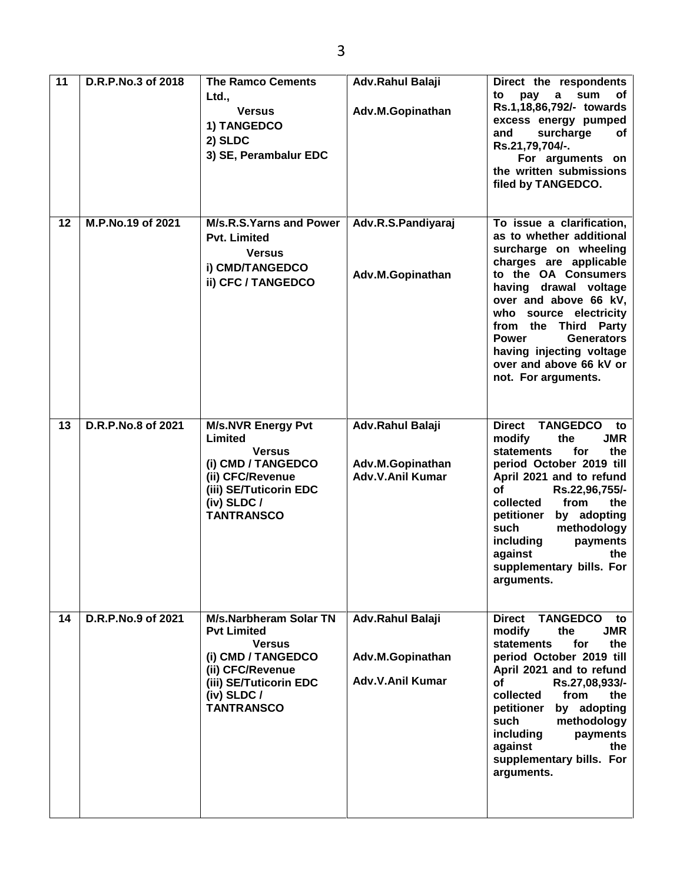| 11 | D.R.P.No.3 of 2018 | <b>The Ramco Cements</b><br>Ltd.,<br><b>Versus</b><br>1) TANGEDCO<br>2) SLDC<br>3) SE, Perambalur EDC                                                                          | <b>Adv.Rahul Balaji</b><br>Adv.M.Gopinathan                     | Direct the respondents<br>sum<br>to<br>pay<br>a<br>of<br>Rs.1,18,86,792/- towards<br>excess energy pumped<br>surcharge<br>and<br>оf<br>Rs.21,79,704/-.<br>For arguments on<br>the written submissions<br>filed by TANGEDCO.                                                                                                                                          |
|----|--------------------|--------------------------------------------------------------------------------------------------------------------------------------------------------------------------------|-----------------------------------------------------------------|----------------------------------------------------------------------------------------------------------------------------------------------------------------------------------------------------------------------------------------------------------------------------------------------------------------------------------------------------------------------|
| 12 | M.P.No.19 of 2021  | M/s.R.S.Yarns and Power<br><b>Pvt. Limited</b><br><b>Versus</b><br>i) CMD/TANGEDCO<br>ii) CFC / TANGEDCO                                                                       | Adv.R.S.Pandiyaraj<br>Adv.M.Gopinathan                          | To issue a clarification,<br>as to whether additional<br>surcharge on wheeling<br>charges are applicable<br>to the OA Consumers<br>having drawal voltage<br>over and above 66 kV,<br>who source electricity<br>from the Third Party<br><b>Power</b><br><b>Generators</b><br>having injecting voltage<br>over and above 66 kV or<br>not. For arguments.               |
| 13 | D.R.P.No.8 of 2021 | <b>M/s.NVR Energy Pvt</b><br>Limited<br><b>Versus</b><br>(i) CMD / TANGEDCO<br>(ii) CFC/Revenue<br>(iii) SE/Tuticorin EDC<br>(iv) SLDC $/$<br><b>TANTRANSCO</b>                | Adv.Rahul Balaji<br>Adv.M.Gopinathan<br><b>Adv.V.Anil Kumar</b> | <b>Direct</b><br><b>TANGEDCO</b><br>to<br>modify<br>the<br><b>JMR</b><br><b>statements</b><br>for<br>the<br>period October 2019 till<br>April 2021 and to refund<br><b>of</b><br>Rs.22,96,755/-<br>collected<br>from<br>the<br>petitioner<br>by adopting<br>methodology<br>such<br>including<br>payments<br>against<br>the<br>supplementary bills. For<br>arguments. |
| 14 | D.R.P.No.9 of 2021 | <b>M/s.Narbheram Solar TN</b><br><b>Pvt Limited</b><br><b>Versus</b><br>(i) CMD / TANGEDCO<br>(ii) CFC/Revenue<br>(iii) SE/Tuticorin EDC<br>(iv) SLDC $/$<br><b>TANTRANSCO</b> | Adv.Rahul Balaji<br>Adv.M.Gopinathan<br><b>Adv.V.Anil Kumar</b> | <b>TANGEDCO</b><br><b>Direct</b><br>to<br>modify<br><b>JMR</b><br>the<br><b>statements</b><br>for<br>the<br>period October 2019 till<br>April 2021 and to refund<br><b>of</b><br>Rs.27,08,933/-<br>collected<br>from<br>the<br>by adopting<br>petitioner<br>such<br>methodology<br>including<br>payments<br>against<br>the<br>supplementary bills. For<br>arguments. |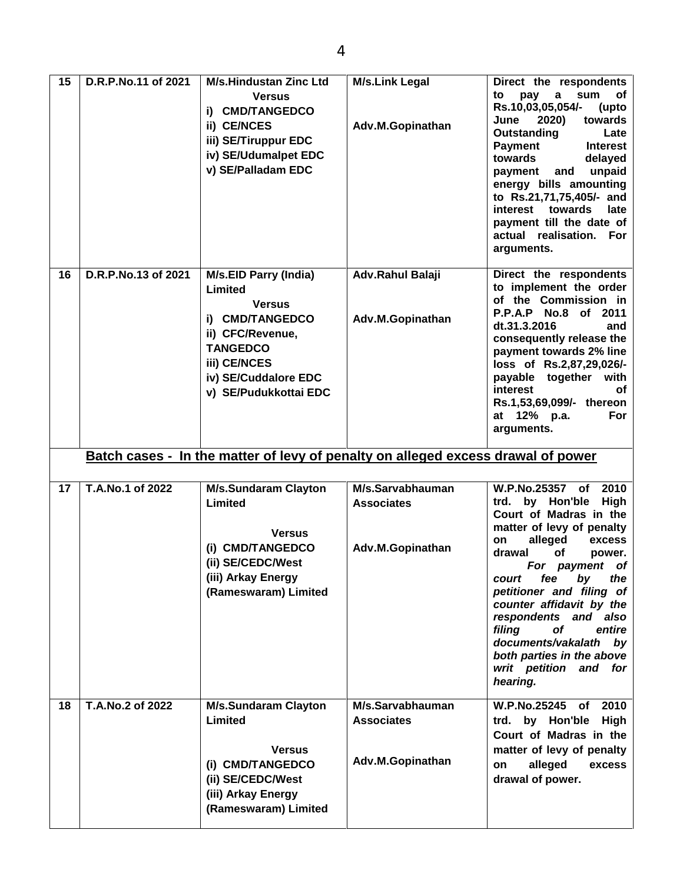| 15 | D.R.P.No.11 of 2021 | <b>M/s.Hindustan Zinc Ltd</b><br><b>Versus</b><br>i) CMD/TANGEDCO<br>ii) CE/NCES<br>iii) SE/Tiruppur EDC<br>iv) SE/Udumalpet EDC<br>v) SE/Palladam EDC                              | <b>M/s.Link Legal</b><br>Adv.M.Gopinathan | Direct the respondents<br>pay<br>sum<br>to<br>a<br>оf<br>Rs.10,03,05,054/-<br>(upto<br>2020)<br>towards<br>June<br>Outstanding<br>Late<br><b>Payment</b><br><b>Interest</b><br>towards<br>delayed<br>unpaid<br>and<br>payment<br>energy bills amounting<br>to Rs.21,71,75,405/- and<br>interest towards<br>late<br>payment till the date of<br>actual realisation.<br><b>For</b><br>arguments. |
|----|---------------------|-------------------------------------------------------------------------------------------------------------------------------------------------------------------------------------|-------------------------------------------|------------------------------------------------------------------------------------------------------------------------------------------------------------------------------------------------------------------------------------------------------------------------------------------------------------------------------------------------------------------------------------------------|
| 16 | D.R.P.No.13 of 2021 | <b>M/s.EID Parry (India)</b><br>Limited<br><b>Versus</b><br>i) CMD/TANGEDCO<br>ii) CFC/Revenue,<br><b>TANGEDCO</b><br>iii) CE/NCES<br>iv) SE/Cuddalore EDC<br>v) SE/Pudukkottai EDC | Adv.Rahul Balaji<br>Adv.M.Gopinathan      | Direct the respondents<br>to implement the order<br>of the Commission in<br>P.P.A.P No.8 of 2011<br>dt.31.3.2016<br>and<br>consequently release the<br>payment towards 2% line<br>loss of Rs.2,87,29,026/-<br>payable together with<br>interest<br>οf<br>Rs.1,53,69,099/- thereon<br>For<br>at 12% p.a.<br>arguments.                                                                          |
|    |                     |                                                                                                                                                                                     |                                           |                                                                                                                                                                                                                                                                                                                                                                                                |
|    |                     | Batch cases - In the matter of levy of penalty on alleged excess drawal of power                                                                                                    |                                           |                                                                                                                                                                                                                                                                                                                                                                                                |
| 17 | T.A.No.1 of 2022    | <b>M/s.Sundaram Clayton</b><br>Limited<br><b>Versus</b>                                                                                                                             | M/s.Sarvabhauman<br><b>Associates</b>     | <b>W.P.No.25357</b><br>2010<br>of<br>trd. by Hon'ble<br><b>High</b><br>Court of Madras in the<br>matter of levy of penalty                                                                                                                                                                                                                                                                     |
|    |                     | (i) CMD/TANGEDCO<br>(ii) SE/CEDC/West<br>(iii) Arkay Energy<br>(Rameswaram) Limited                                                                                                 | Adv.M.Gopinathan                          | alleged<br>on<br>excess<br>drawal<br>οf<br>power.<br>For payment of<br>by<br>court<br>fee<br>the<br>petitioner and filing of<br>counter affidavit by the<br>respondents and also<br>filing<br>οf<br>entire<br>documents/vakalath<br>by<br>both parties in the above<br>writ petition and for<br>hearing.                                                                                       |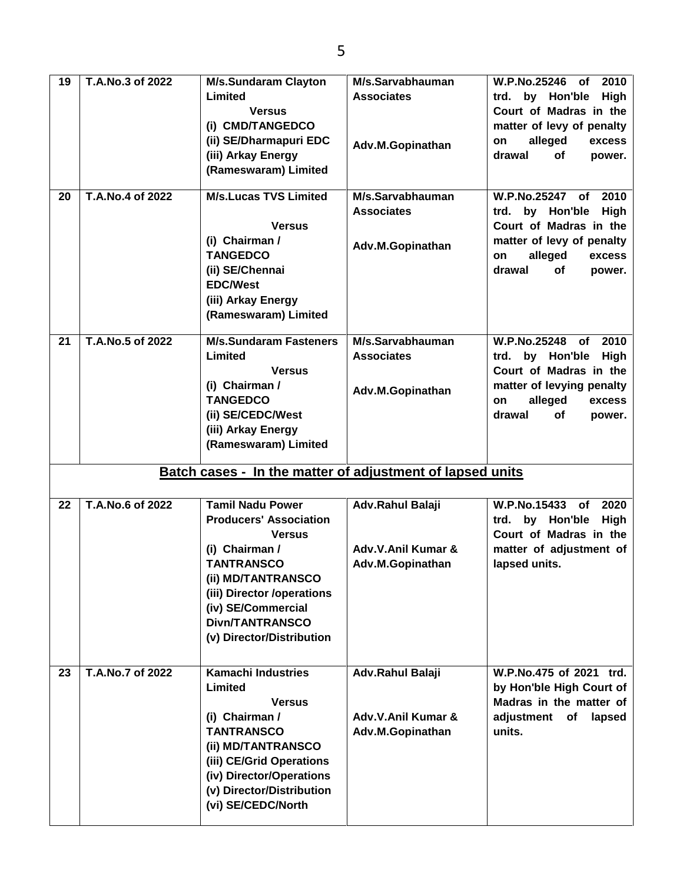| Limited<br><b>Associates</b><br>trd. by Hon'ble<br><b>Versus</b><br>Court of Madras in the<br>(i) CMD/TANGEDCO<br>matter of levy of penalty<br>(ii) SE/Dharmapuri EDC<br>alleged<br>on |        |
|----------------------------------------------------------------------------------------------------------------------------------------------------------------------------------------|--------|
|                                                                                                                                                                                        | High   |
|                                                                                                                                                                                        |        |
|                                                                                                                                                                                        |        |
|                                                                                                                                                                                        | excess |
| Adv.M.Gopinathan<br>(iii) Arkay Energy<br>drawal<br>of                                                                                                                                 | power. |
| (Rameswaram) Limited                                                                                                                                                                   |        |
|                                                                                                                                                                                        |        |
| T.A.No.4 of 2022<br><b>M/s.Lucas TVS Limited</b><br>M/s.Sarvabhauman<br><b>W.P.No.25247</b><br>20<br>of                                                                                | 2010   |
| <b>Associates</b><br>trd. by Hon'ble                                                                                                                                                   | High   |
| Court of Madras in the<br><b>Versus</b>                                                                                                                                                |        |
| (i) Chairman /<br>matter of levy of penalty<br>Adv.M.Gopinathan                                                                                                                        |        |
| <b>TANGEDCO</b><br>alleged<br>on                                                                                                                                                       | excess |
| (ii) SE/Chennai<br>drawal<br>of                                                                                                                                                        | power. |
| <b>EDC/West</b>                                                                                                                                                                        |        |
| (iii) Arkay Energy                                                                                                                                                                     |        |
| (Rameswaram) Limited                                                                                                                                                                   |        |
|                                                                                                                                                                                        |        |
| T.A.No.5 of 2022<br><b>M/s.Sundaram Fasteners</b><br>M/s.Sarvabhauman<br><b>W.P.No.25248</b><br>21<br>0f                                                                               | 2010   |
| Limited<br><b>Associates</b><br>trd. by Hon'ble                                                                                                                                        | High   |
| Court of Madras in the<br><b>Versus</b>                                                                                                                                                |        |
| (i) Chairman /<br>matter of levying penalty<br>Adv.M.Gopinathan                                                                                                                        |        |
| <b>TANGEDCO</b><br>alleged<br>on                                                                                                                                                       | excess |
| (ii) SE/CEDC/West<br>drawal<br>of                                                                                                                                                      | power. |
| (iii) Arkay Energy                                                                                                                                                                     |        |
| (Rameswaram) Limited                                                                                                                                                                   |        |
|                                                                                                                                                                                        |        |
|                                                                                                                                                                                        |        |
| Batch cases - In the matter of adjustment of lapsed units                                                                                                                              |        |
|                                                                                                                                                                                        |        |
| <b>T.A.No.6 of 2022</b><br><b>Tamil Nadu Power</b><br>Adv.Rahul Balaji<br>W.P.No.15433<br>22<br>of                                                                                     | 2020   |
| <b>Producers' Association</b><br>trd. by Hon'ble High                                                                                                                                  |        |
| Court of Madras in the<br><b>Versus</b>                                                                                                                                                |        |
| (i) Chairman /<br>Adv.V.Anil Kumar &<br>matter of adjustment of                                                                                                                        |        |
| <b>TANTRANSCO</b><br>Adv.M.Gopinathan<br>lapsed units.                                                                                                                                 |        |
| (ii) MD/TANTRANSCO                                                                                                                                                                     |        |
|                                                                                                                                                                                        |        |
| (iii) Director /operations<br>(iv) SE/Commercial                                                                                                                                       |        |
| <b>Divn/TANTRANSCO</b>                                                                                                                                                                 |        |
|                                                                                                                                                                                        |        |
| (v) Director/Distribution                                                                                                                                                              |        |
|                                                                                                                                                                                        |        |
| <b>Kamachi Industries</b><br>T.A.No.7 of 2022<br>W.P.No.475 of 2021 trd.<br>23<br>Adv.Rahul Balaji                                                                                     |        |
| Limited<br>by Hon'ble High Court of                                                                                                                                                    |        |
| Madras in the matter of<br><b>Versus</b>                                                                                                                                               |        |
| (i) Chairman /<br>Adv.V.Anil Kumar &<br>adjustment of                                                                                                                                  | lapsed |
| <b>TANTRANSCO</b><br>units.<br>Adv.M.Gopinathan                                                                                                                                        |        |
| (ii) MD/TANTRANSCO                                                                                                                                                                     |        |
| (iii) CE/Grid Operations                                                                                                                                                               |        |
| (iv) Director/Operations                                                                                                                                                               |        |
| (v) Director/Distribution<br>(vi) SE/CEDC/North                                                                                                                                        |        |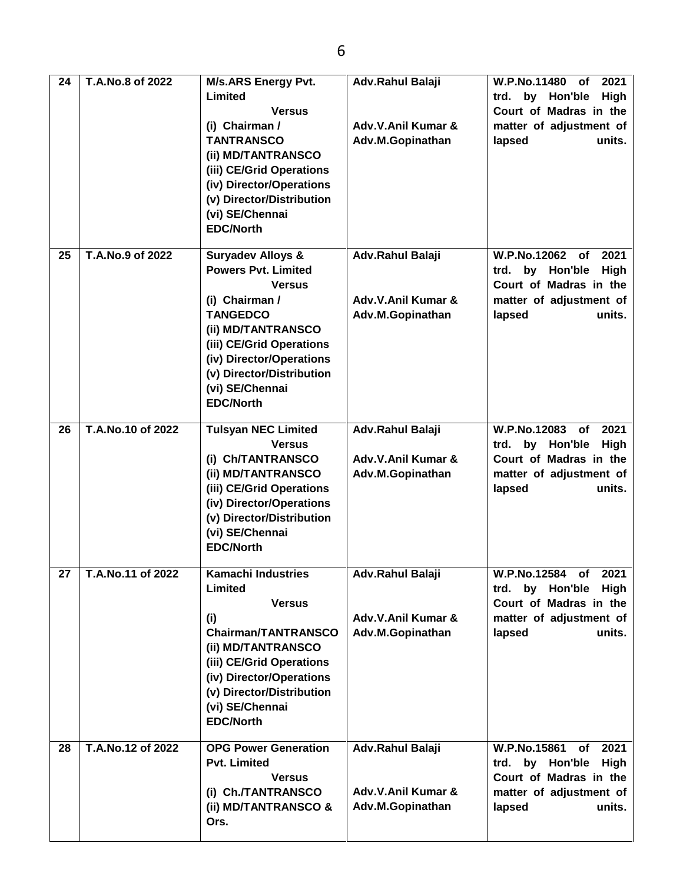| 24 | T.A. No.8 of 2022           | <b>M/s.ARS Energy Pvt.</b><br>Limited<br><b>Versus</b><br>(i) Chairman /<br><b>TANTRANSCO</b><br>(ii) MD/TANTRANSCO<br>(iii) CE/Grid Operations<br>(iv) Director/Operations<br>(v) Director/Distribution<br>(vi) SE/Chennai<br><b>EDC/North</b>                    | Adv.Rahul Balaji<br>Adv.V.Anil Kumar &<br>Adv.M.Gopinathan        | <b>W.P.No.11480</b><br>2021<br>of<br>High<br>trd. by Hon'ble<br>Court of Madras in the<br>matter of adjustment of<br>lapsed<br>units. |
|----|-----------------------------|--------------------------------------------------------------------------------------------------------------------------------------------------------------------------------------------------------------------------------------------------------------------|-------------------------------------------------------------------|---------------------------------------------------------------------------------------------------------------------------------------|
| 25 | T.A.No.9 of 2022            | <b>Suryadev Alloys &amp;</b><br><b>Powers Pvt. Limited</b><br><b>Versus</b><br>(i) Chairman /<br><b>TANGEDCO</b><br>(ii) MD/TANTRANSCO<br>(iii) CE/Grid Operations<br>(iv) Director/Operations<br>(v) Director/Distribution<br>(vi) SE/Chennai<br><b>EDC/North</b> | Adv.Rahul Balaji<br>Adv.V.Anil Kumar &<br>Adv.M.Gopinathan        | W.P.No.12062 of<br>2021<br>trd. by Hon'ble<br><b>High</b><br>Court of Madras in the<br>matter of adjustment of<br>lapsed<br>units.    |
| 26 | T.A.No.10 of 2022           | <b>Tulsyan NEC Limited</b><br><b>Versus</b><br>(i) Ch/TANTRANSCO<br>(ii) MD/TANTRANSCO<br>(iii) CE/Grid Operations<br>(iv) Director/Operations<br>(v) Director/Distribution<br>(vi) SE/Chennai<br><b>EDC/North</b>                                                 | Adv.Rahul Balaji<br>Adv.V.Anil Kumar &<br>Adv.M.Gopinathan        | W.P.No.12083<br>2021<br>of<br>trd. by Hon'ble<br><b>High</b><br>Court of Madras in the<br>matter of adjustment of<br>lapsed<br>units. |
| 27 | $\sqrt{7}$ .A.No.11 of 2022 | <b>Kamachi Industries</b><br>Limited<br><b>Versus</b><br>(i)<br><b>Chairman/TANTRANSCO</b><br>(ii) MD/TANTRANSCO<br>(iii) CE/Grid Operations<br>(iv) Director/Operations<br>(v) Director/Distribution<br>(vi) SE/Chennai<br><b>EDC/North</b>                       | <b>Adv.Rahul Balaji</b><br>Adv.V.Anil Kumar &<br>Adv.M.Gopinathan | W.P.No.12584 of<br>2021<br>by Hon'ble<br>trd.<br>High<br>Court of Madras in the<br>matter of adjustment of<br>lapsed<br>units.        |
| 28 | T.A.No.12 of 2022           | <b>OPG Power Generation</b><br><b>Pvt. Limited</b><br><b>Versus</b><br>(i) Ch./TANTRANSCO<br>(ii) MD/TANTRANSCO &<br>Ors.                                                                                                                                          | Adv.Rahul Balaji<br>Adv.V.Anil Kumar &<br>Adv.M.Gopinathan        | 2021<br>W.P.No.15861<br>of<br>by Hon'ble<br>High<br>trd.<br>Court of Madras in the<br>matter of adjustment of<br>lapsed<br>units.     |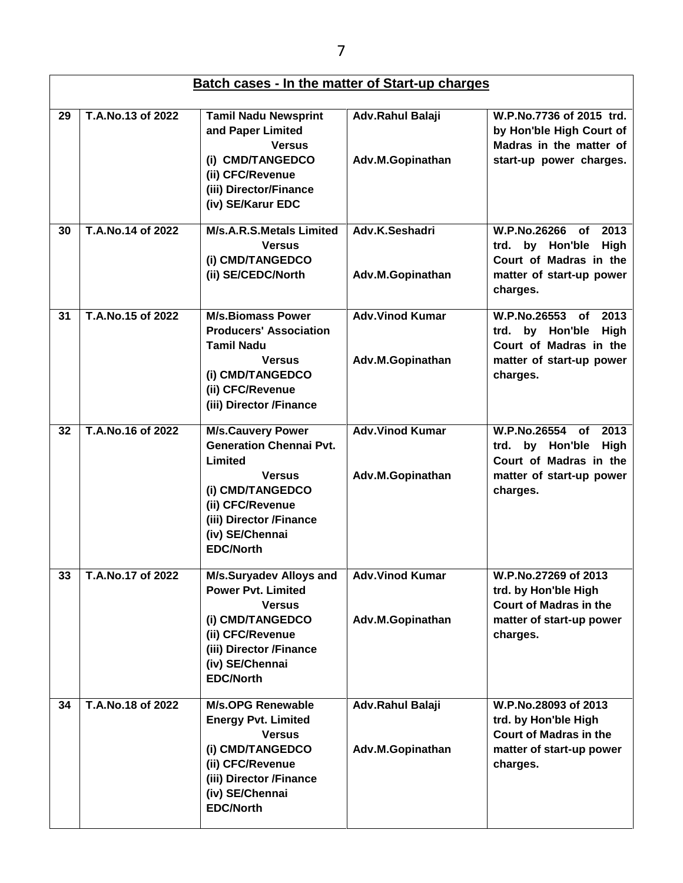|    | <b>Batch cases - In the matter of Start-up charges</b> |                                                                                                                                                                                                  |                                            |                                                                                                                                   |  |
|----|--------------------------------------------------------|--------------------------------------------------------------------------------------------------------------------------------------------------------------------------------------------------|--------------------------------------------|-----------------------------------------------------------------------------------------------------------------------------------|--|
| 29 | T.A.No.13 of 2022                                      | <b>Tamil Nadu Newsprint</b><br>and Paper Limited<br><b>Versus</b><br>(i) CMD/TANGEDCO<br>(ii) CFC/Revenue<br>(iii) Director/Finance<br>(iv) SE/Karur EDC                                         | Adv.Rahul Balaji<br>Adv.M.Gopinathan       | W.P.No.7736 of 2015 trd.<br>by Hon'ble High Court of<br>Madras in the matter of<br>start-up power charges.                        |  |
| 30 | T.A.No.14 of 2022                                      | M/s.A.R.S.Metals Limited<br><b>Versus</b><br>(i) CMD/TANGEDCO<br>(ii) SE/CEDC/North                                                                                                              | Adv.K.Seshadri<br>Adv.M.Gopinathan         | W.P.No.26266<br>2013<br><b>of</b><br>by Hon'ble<br>High<br>trd.<br>Court of Madras in the<br>matter of start-up power<br>charges. |  |
| 31 | T.A.No.15 of 2022                                      | <b>M/s.Biomass Power</b><br><b>Producers' Association</b><br><b>Tamil Nadu</b><br><b>Versus</b><br>(i) CMD/TANGEDCO<br>(ii) CFC/Revenue<br>(iii) Director /Finance                               | <b>Adv.Vinod Kumar</b><br>Adv.M.Gopinathan | W.P.No.26553<br>of<br>2013<br>High<br>trd. by Hon'ble<br>Court of Madras in the<br>matter of start-up power<br>charges.           |  |
| 32 | T.A.No.16 of 2022                                      | <b>M/s.Cauvery Power</b><br><b>Generation Chennai Pvt.</b><br>Limited<br><b>Versus</b><br>(i) CMD/TANGEDCO<br>(ii) CFC/Revenue<br>(iii) Director /Finance<br>(iv) SE/Chennai<br><b>EDC/North</b> | <b>Adv.Vinod Kumar</b><br>Adv.M.Gopinathan | W.P.No.26554<br>of<br>2013<br>trd. by Hon'ble<br>High<br>Court of Madras in the<br>matter of start-up power<br>charges.           |  |
| 33 | T.A.No.17 of 2022                                      | <b>M/s.Suryadev Alloys and</b><br><b>Power Pvt. Limited</b><br><b>Versus</b><br>(i) CMD/TANGEDCO<br>(ii) CFC/Revenue<br>(iii) Director /Finance<br>(iv) SE/Chennai<br><b>EDC/North</b>           | <b>Adv.Vinod Kumar</b><br>Adv.M.Gopinathan | W.P.No.27269 of 2013<br>trd. by Hon'ble High<br><b>Court of Madras in the</b><br>matter of start-up power<br>charges.             |  |
| 34 | T.A.No.18 of 2022                                      | <b>M/s.OPG Renewable</b><br><b>Energy Pvt. Limited</b><br><b>Versus</b><br>(i) CMD/TANGEDCO<br>(ii) CFC/Revenue<br>(iii) Director /Finance<br>(iv) SE/Chennai<br><b>EDC/North</b>                | Adv.Rahul Balaji<br>Adv.M.Gopinathan       | W.P.No.28093 of 2013<br>trd. by Hon'ble High<br><b>Court of Madras in the</b><br>matter of start-up power<br>charges.             |  |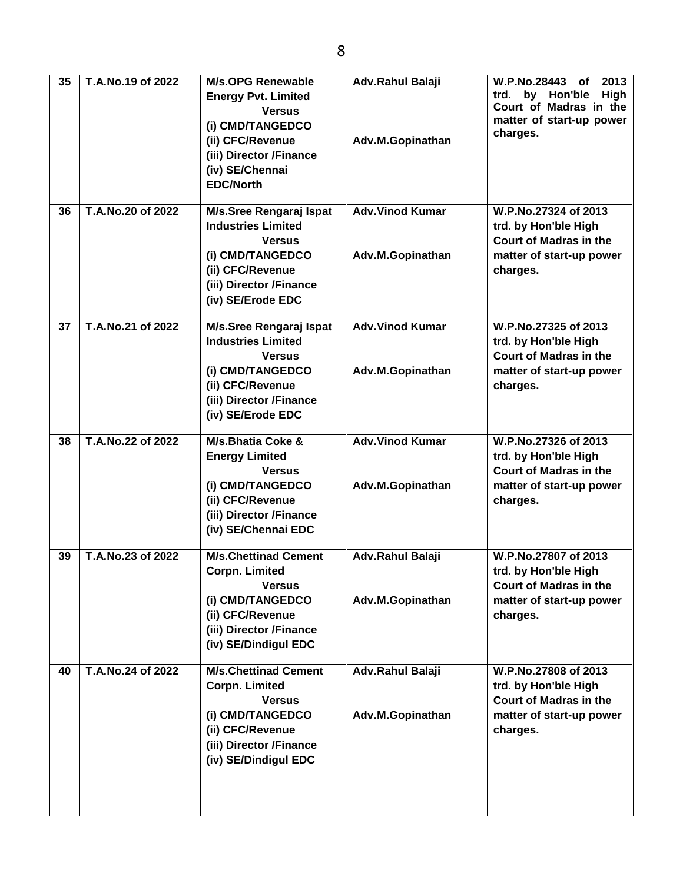| 35<br>36 | T.A.No.19 of 2022<br>T.A.No.20 of 2022 | <b>M/s.OPG Renewable</b><br><b>Energy Pvt. Limited</b><br><b>Versus</b><br>(i) CMD/TANGEDCO<br>(ii) CFC/Revenue<br>(iii) Director /Finance<br>(iv) SE/Chennai<br><b>EDC/North</b> | Adv.Rahul Balaji<br>Adv.M.Gopinathan<br><b>Adv.Vinod Kumar</b> | W.P.No.28443<br>2013<br>of<br>by Hon'ble<br><b>High</b><br>trd.<br>Court of Madras in the<br>matter of start-up power<br>charges.<br>W.P.No.27324 of 2013 |
|----------|----------------------------------------|-----------------------------------------------------------------------------------------------------------------------------------------------------------------------------------|----------------------------------------------------------------|-----------------------------------------------------------------------------------------------------------------------------------------------------------|
|          |                                        | M/s.Sree Rengaraj Ispat<br><b>Industries Limited</b><br><b>Versus</b><br>(i) CMD/TANGEDCO<br>(ii) CFC/Revenue<br>(iii) Director /Finance<br>(iv) SE/Erode EDC                     | Adv.M.Gopinathan                                               | trd. by Hon'ble High<br><b>Court of Madras in the</b><br>matter of start-up power<br>charges.                                                             |
| 37       | T.A.No.21 of 2022                      | M/s.Sree Rengaraj Ispat<br><b>Industries Limited</b><br><b>Versus</b><br>(i) CMD/TANGEDCO<br>(ii) CFC/Revenue<br>(iii) Director /Finance<br>(iv) SE/Erode EDC                     | <b>Adv.Vinod Kumar</b><br>Adv.M.Gopinathan                     | W.P.No.27325 of 2013<br>trd. by Hon'ble High<br><b>Court of Madras in the</b><br>matter of start-up power<br>charges.                                     |
| 38       | T.A.No.22 of 2022                      | M/s.Bhatia Coke &<br><b>Energy Limited</b><br><b>Versus</b><br>(i) CMD/TANGEDCO<br>(ii) CFC/Revenue<br>(iii) Director /Finance<br>(iv) SE/Chennai EDC                             | <b>Adv.Vinod Kumar</b><br>Adv.M.Gopinathan                     | W.P.No.27326 of 2013<br>trd. by Hon'ble High<br><b>Court of Madras in the</b><br>matter of start-up power<br>charges.                                     |
| 39       | T.A.No.23 of 2022                      | <b>M/s.Chettinad Cement</b><br><b>Corpn. Limited</b><br><b>Versus</b><br>(i) CMD/TANGEDCO<br>(ii) CFC/Revenue<br>(iii) Director /Finance<br>(iv) SE/Dindigul EDC                  | Adv.Rahul Balaji<br>Adv.M.Gopinathan                           | W.P.No.27807 of 2013<br>trd. by Hon'ble High<br><b>Court of Madras in the</b><br>matter of start-up power<br>charges.                                     |
| 40       | T.A.No.24 of 2022                      | <b>M/s.Chettinad Cement</b><br><b>Corpn. Limited</b><br><b>Versus</b><br>(i) CMD/TANGEDCO<br>(ii) CFC/Revenue<br>(iii) Director /Finance<br>(iv) SE/Dindigul EDC                  | Adv.Rahul Balaji<br>Adv.M.Gopinathan                           | W.P.No.27808 of 2013<br>trd. by Hon'ble High<br><b>Court of Madras in the</b><br>matter of start-up power<br>charges.                                     |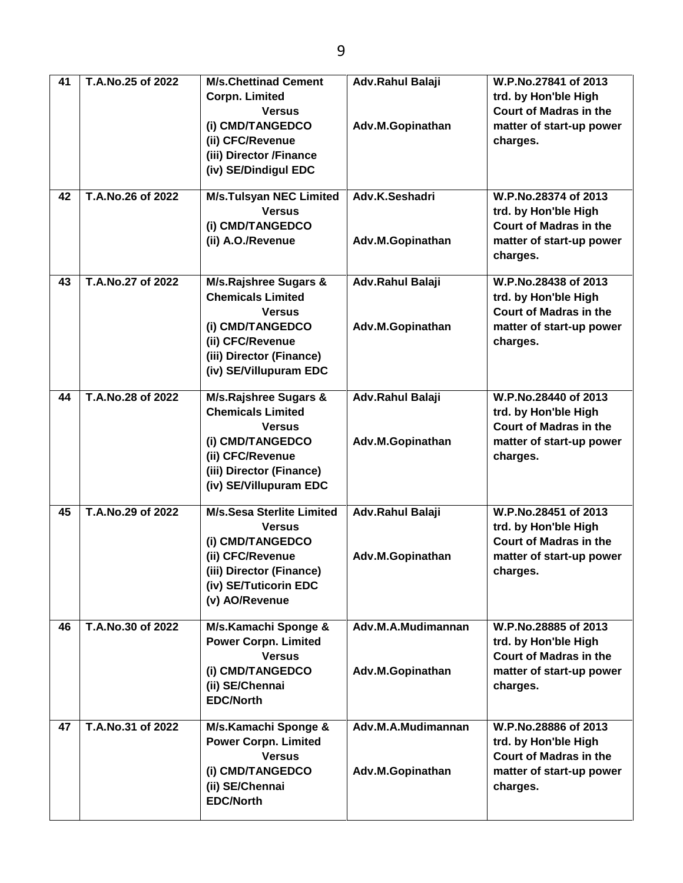| 41 | T.A.No.25 of 2022 | <b>M/s.Chettinad Cement</b>      | Adv.Rahul Balaji   | W.P.No.27841 of 2013          |
|----|-------------------|----------------------------------|--------------------|-------------------------------|
|    |                   | <b>Corpn. Limited</b>            |                    | trd. by Hon'ble High          |
|    |                   | <b>Versus</b>                    |                    | <b>Court of Madras in the</b> |
|    |                   | (i) CMD/TANGEDCO                 | Adv.M.Gopinathan   | matter of start-up power      |
|    |                   | (ii) CFC/Revenue                 |                    | charges.                      |
|    |                   |                                  |                    |                               |
|    |                   | (iii) Director /Finance          |                    |                               |
|    |                   | (iv) SE/Dindigul EDC             |                    |                               |
| 42 | T.A.No.26 of 2022 | <b>M/s.Tulsyan NEC Limited</b>   | Adv.K.Seshadri     | W.P.No.28374 of 2013          |
|    |                   | <b>Versus</b>                    |                    | trd. by Hon'ble High          |
|    |                   | (i) CMD/TANGEDCO                 |                    | <b>Court of Madras in the</b> |
|    |                   | (ii) A.O./Revenue                | Adv.M.Gopinathan   | matter of start-up power      |
|    |                   |                                  |                    |                               |
|    |                   |                                  |                    | charges.                      |
| 43 | T.A.No.27 of 2022 | <b>M/s.Rajshree Sugars &amp;</b> | Adv.Rahul Balaji   | W.P.No.28438 of 2013          |
|    |                   | <b>Chemicals Limited</b>         |                    | trd. by Hon'ble High          |
|    |                   | <b>Versus</b>                    |                    | <b>Court of Madras in the</b> |
|    |                   | (i) CMD/TANGEDCO                 | Adv.M.Gopinathan   | matter of start-up power      |
|    |                   | (ii) CFC/Revenue                 |                    | charges.                      |
|    |                   | (iii) Director (Finance)         |                    |                               |
|    |                   | (iv) SE/Villupuram EDC           |                    |                               |
|    |                   |                                  |                    |                               |
| 44 | T.A.No.28 of 2022 | M/s.Rajshree Sugars &            | Adv.Rahul Balaji   | W.P.No.28440 of 2013          |
|    |                   | <b>Chemicals Limited</b>         |                    | trd. by Hon'ble High          |
|    |                   | <b>Versus</b>                    |                    | <b>Court of Madras in the</b> |
|    |                   | (i) CMD/TANGEDCO                 | Adv.M.Gopinathan   | matter of start-up power      |
|    |                   | (ii) CFC/Revenue                 |                    | charges.                      |
|    |                   | (iii) Director (Finance)         |                    |                               |
|    |                   | (iv) SE/Villupuram EDC           |                    |                               |
|    |                   |                                  |                    |                               |
| 45 | T.A.No.29 of 2022 | <b>M/s.Sesa Sterlite Limited</b> | Adv.Rahul Balaji   | W.P.No.28451 of 2013          |
|    |                   | <b>Versus</b>                    |                    | trd. by Hon'ble High          |
|    |                   | (i) CMD/TANGEDCO                 |                    | <b>Court of Madras in the</b> |
|    |                   | (ii) CFC/Revenue                 | Adv.M.Gopinathan   | matter of start-up power      |
|    |                   | (iii) Director (Finance)         |                    | charges.                      |
|    |                   | (iv) SE/Tuticorin EDC            |                    |                               |
|    |                   |                                  |                    |                               |
|    |                   | (v) AO/Revenue                   |                    |                               |
| 46 | T.A.No.30 of 2022 | M/s.Kamachi Sponge &             | Adv.M.A.Mudimannan | W.P.No.28885 of 2013          |
|    |                   | <b>Power Corpn. Limited</b>      |                    | trd. by Hon'ble High          |
|    |                   | <b>Versus</b>                    |                    | <b>Court of Madras in the</b> |
|    |                   | (i) CMD/TANGEDCO                 | Adv.M.Gopinathan   | matter of start-up power      |
|    |                   | (ii) SE/Chennai                  |                    | charges.                      |
|    |                   | <b>EDC/North</b>                 |                    |                               |
|    |                   |                                  |                    |                               |
| 47 | T.A.No.31 of 2022 | M/s.Kamachi Sponge &             | Adv.M.A.Mudimannan | W.P.No.28886 of 2013          |
|    |                   | <b>Power Corpn. Limited</b>      |                    | trd. by Hon'ble High          |
|    |                   | <b>Versus</b>                    |                    | <b>Court of Madras in the</b> |
|    |                   | (i) CMD/TANGEDCO                 | Adv.M.Gopinathan   | matter of start-up power      |
|    |                   | (ii) SE/Chennai                  |                    | charges.                      |
|    |                   | <b>EDC/North</b>                 |                    |                               |
|    |                   |                                  |                    |                               |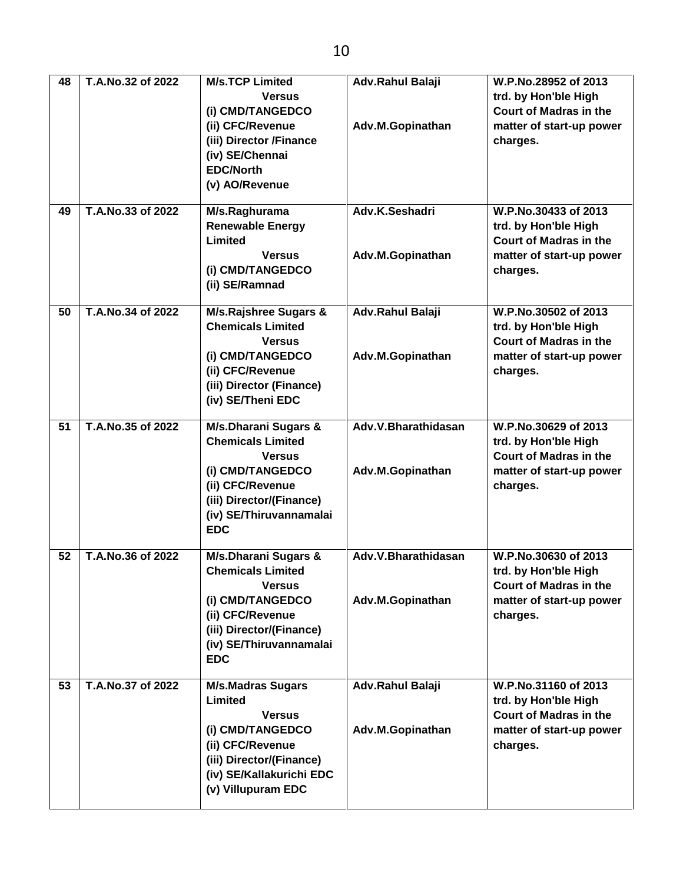| 48<br>49 | T.A.No.32 of 2022<br>T.A.No.33 of 2022 | <b>M/s.TCP Limited</b><br><b>Versus</b><br>(i) CMD/TANGEDCO<br>(ii) CFC/Revenue<br>(iii) Director /Finance<br>(iv) SE/Chennai<br><b>EDC/North</b><br>(v) AO/Revenue<br>M/s.Raghurama<br><b>Renewable Energy</b><br>Limited<br><b>Versus</b><br>(i) CMD/TANGEDCO | Adv.Rahul Balaji<br>Adv.M.Gopinathan<br>Adv.K.Seshadri<br>Adv.M.Gopinathan | W.P.No.28952 of 2013<br>trd. by Hon'ble High<br><b>Court of Madras in the</b><br>matter of start-up power<br>charges.<br>W.P.No.30433 of 2013<br>trd. by Hon'ble High<br><b>Court of Madras in the</b><br>matter of start-up power<br>charges. |
|----------|----------------------------------------|-----------------------------------------------------------------------------------------------------------------------------------------------------------------------------------------------------------------------------------------------------------------|----------------------------------------------------------------------------|------------------------------------------------------------------------------------------------------------------------------------------------------------------------------------------------------------------------------------------------|
| 50       | T.A.No.34 of 2022                      | (ii) SE/Ramnad<br>M/s.Rajshree Sugars &                                                                                                                                                                                                                         | Adv.Rahul Balaji                                                           | W.P.No.30502 of 2013                                                                                                                                                                                                                           |
|          |                                        | <b>Chemicals Limited</b><br><b>Versus</b><br>(i) CMD/TANGEDCO<br>(ii) CFC/Revenue<br>(iii) Director (Finance)<br>(iv) SE/Theni EDC                                                                                                                              | Adv.M.Gopinathan                                                           | trd. by Hon'ble High<br>Court of Madras in the<br>matter of start-up power<br>charges.                                                                                                                                                         |
| 51       | T.A.No.35 of 2022                      | M/s.Dharani Sugars &<br><b>Chemicals Limited</b><br><b>Versus</b><br>(i) CMD/TANGEDCO<br>(ii) CFC/Revenue<br>(iii) Director/(Finance)<br>(iv) SE/Thiruvannamalai<br><b>EDC</b>                                                                                  | Adv.V.Bharathidasan<br>Adv.M.Gopinathan                                    | W.P.No.30629 of 2013<br>trd. by Hon'ble High<br><b>Court of Madras in the</b><br>matter of start-up power<br>charges.                                                                                                                          |
| 52       | T.A.No.36 of 2022                      | M/s.Dharani Sugars &<br><b>Chemicals Limited</b><br><b>Versus</b><br>(i) CMD/TANGEDCO<br>(ii) CFC/Revenue<br>(iii) Director/(Finance)<br>(iv) SE/Thiruvannamalai<br><b>EDC</b>                                                                                  | Adv.V.Bharathidasan<br>Adv.M.Gopinathan                                    | W.P.No.30630 of 2013<br>trd. by Hon'ble High<br><b>Court of Madras in the</b><br>matter of start-up power<br>charges.                                                                                                                          |
| 53       | T.A.No.37 of 2022                      | <b>M/s.Madras Sugars</b><br>Limited<br><b>Versus</b><br>(i) CMD/TANGEDCO<br>(ii) CFC/Revenue<br>(iii) Director/(Finance)<br>(iv) SE/Kallakurichi EDC<br>(v) Villupuram EDC                                                                                      | Adv.Rahul Balaji<br>Adv.M.Gopinathan                                       | W.P.No.31160 of 2013<br>trd. by Hon'ble High<br><b>Court of Madras in the</b><br>matter of start-up power<br>charges.                                                                                                                          |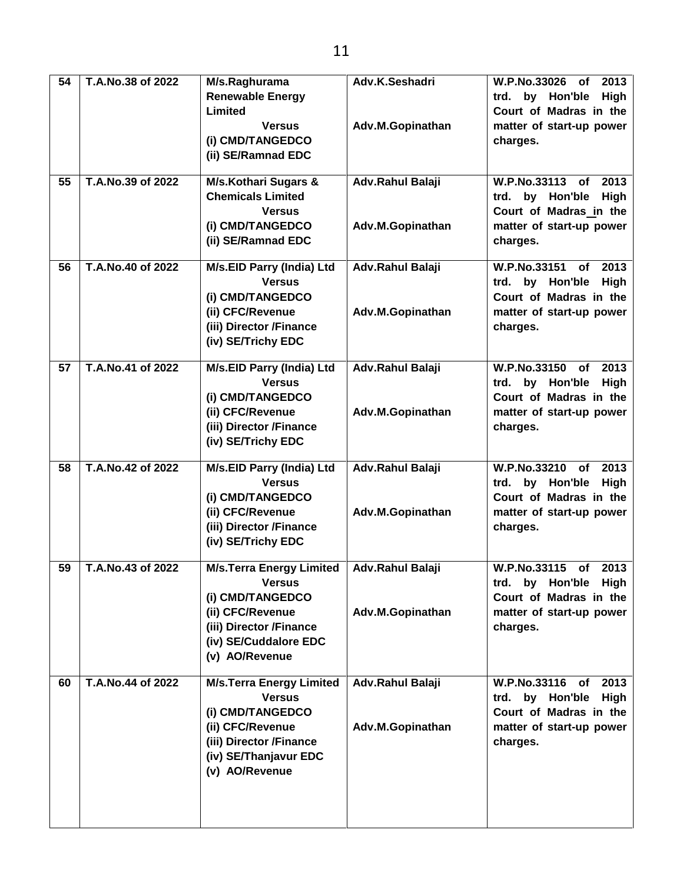| $\overline{54}$ | T.A.No.38 of 2022 | M/s.Raghurama                   | Adv.K.Seshadri          | W.P.No.33026<br>2013<br>of     |
|-----------------|-------------------|---------------------------------|-------------------------|--------------------------------|
|                 |                   | <b>Renewable Energy</b>         |                         | High<br>by Hon'ble<br>trd.     |
|                 |                   | Limited                         |                         | Court of Madras in the         |
|                 |                   | <b>Versus</b>                   | Adv.M.Gopinathan        | matter of start-up power       |
|                 |                   | (i) CMD/TANGEDCO                |                         | charges.                       |
|                 |                   | (ii) SE/Ramnad EDC              |                         |                                |
|                 |                   |                                 |                         |                                |
| 55              | T.A.No.39 of 2022 | <b>M/s.Kothari Sugars &amp;</b> | Adv.Rahul Balaji        | W.P.No.33113<br>2013<br>of     |
|                 |                   | <b>Chemicals Limited</b>        |                         | High<br>by Hon'ble<br>trd.     |
|                 |                   | <b>Versus</b>                   |                         | Court of Madras in the         |
|                 |                   | (i) CMD/TANGEDCO                | Adv.M.Gopinathan        | matter of start-up power       |
|                 |                   | (ii) SE/Ramnad EDC              |                         | charges.                       |
| 56              | T.A.No.40 of 2022 | M/s.EID Parry (India) Ltd       | Adv.Rahul Balaji        | W.P.No.33151<br>2013<br>of     |
|                 |                   | <b>Versus</b>                   |                         | trd. by Hon'ble<br>High        |
|                 |                   | (i) CMD/TANGEDCO                |                         | Court of Madras in the         |
|                 |                   | (ii) CFC/Revenue                | Adv.M.Gopinathan        | matter of start-up power       |
|                 |                   | (iii) Director /Finance         |                         | charges.                       |
|                 |                   | (iv) SE/Trichy EDC              |                         |                                |
|                 |                   |                                 |                         |                                |
| 57              | T.A.No.41 of 2022 | M/s.EID Parry (India) Ltd       | <b>Adv.Rahul Balaji</b> | W.P.No.33150<br>2013<br>of     |
|                 |                   | <b>Versus</b>                   |                         | trd. by Hon'ble<br>High        |
|                 |                   | (i) CMD/TANGEDCO                |                         | Court of Madras in the         |
|                 |                   | (ii) CFC/Revenue                | Adv.M.Gopinathan        | matter of start-up power       |
|                 |                   | (iii) Director /Finance         |                         | charges.                       |
|                 |                   | (iv) SE/Trichy EDC              |                         |                                |
| 58              | T.A.No.42 of 2022 | M/s.EID Parry (India) Ltd       | Adv.Rahul Balaji        | 2013<br>W.P.No.33210 of        |
|                 |                   | <b>Versus</b>                   |                         | trd. by Hon'ble<br><b>High</b> |
|                 |                   | (i) CMD/TANGEDCO                |                         | Court of Madras in the         |
|                 |                   | (ii) CFC/Revenue                | Adv.M.Gopinathan        | matter of start-up power       |
|                 |                   | (iii) Director /Finance         |                         | charges.                       |
|                 |                   | (iv) SE/Trichy EDC              |                         |                                |
|                 |                   |                                 |                         |                                |
| 59              | T.A.No.43 of 2022 | <b>M/s.Terra Energy Limited</b> | Adv.Rahul Balaji        | W.P.No.33115<br>2013<br>of     |
|                 |                   | <b>Versus</b>                   |                         | trd. by Hon'ble High           |
|                 |                   | (i) CMD/TANGEDCO                |                         | Court of Madras in the         |
|                 |                   | (ii) CFC/Revenue                | Adv.M.Gopinathan        | matter of start-up power       |
|                 |                   | (iii) Director /Finance         |                         | charges.                       |
|                 |                   | (iv) SE/Cuddalore EDC           |                         |                                |
|                 |                   | (v) AO/Revenue                  |                         |                                |
| 60              | T.A.No.44 of 2022 | <b>M/s.Terra Energy Limited</b> | Adv.Rahul Balaji        | 2013<br>W.P.No.33116<br>of     |
|                 |                   | <b>Versus</b>                   |                         | trd. by Hon'ble<br>High        |
|                 |                   | (i) CMD/TANGEDCO                |                         | Court of Madras in the         |
|                 |                   | (ii) CFC/Revenue                | Adv.M.Gopinathan        | matter of start-up power       |
|                 |                   | (iii) Director /Finance         |                         | charges.                       |
|                 |                   | (iv) SE/Thanjavur EDC           |                         |                                |
|                 |                   | (v) AO/Revenue                  |                         |                                |
|                 |                   |                                 |                         |                                |
|                 |                   |                                 |                         |                                |
|                 |                   |                                 |                         |                                |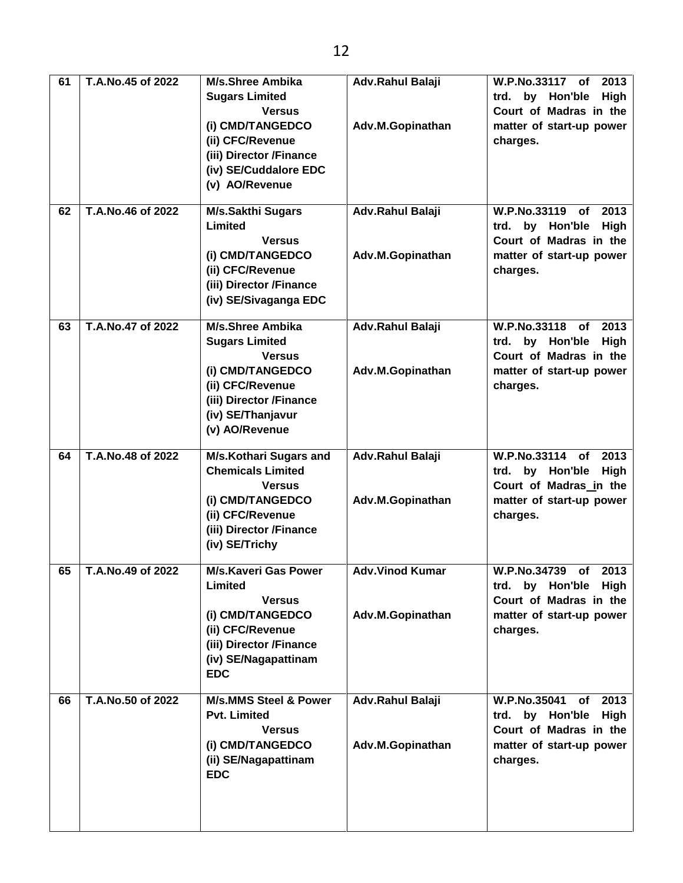| 61<br>62 | T.A.No.45 of 2022<br>T.A.No.46 of 2022 | M/s.Shree Ambika<br><b>Sugars Limited</b><br><b>Versus</b><br>(i) CMD/TANGEDCO<br>(ii) CFC/Revenue<br>(iii) Director /Finance<br>(iv) SE/Cuddalore EDC<br>(v) AO/Revenue<br>M/s.Sakthi Sugars | Adv.Rahul Balaji<br>Adv.M.Gopinathan<br>Adv.Rahul Balaji | W.P.No.33117 of<br>2013<br>High<br>trd.<br>by Hon'ble<br>Court of Madras in the<br>matter of start-up power<br>charges.<br>W.P.No.33119<br>2013<br>of |
|----------|----------------------------------------|-----------------------------------------------------------------------------------------------------------------------------------------------------------------------------------------------|----------------------------------------------------------|-------------------------------------------------------------------------------------------------------------------------------------------------------|
|          |                                        | Limited<br><b>Versus</b><br>(i) CMD/TANGEDCO<br>(ii) CFC/Revenue<br>(iii) Director /Finance<br>(iv) SE/Sivaganga EDC                                                                          | Adv.M.Gopinathan                                         | trd. by Hon'ble<br>High<br>Court of Madras in the<br>matter of start-up power<br>charges.                                                             |
| 63       | T.A.No.47 of 2022                      | M/s.Shree Ambika<br><b>Sugars Limited</b><br><b>Versus</b><br>(i) CMD/TANGEDCO<br>(ii) CFC/Revenue<br>(iii) Director /Finance<br>(iv) SE/Thanjavur<br>(v) AO/Revenue                          | <b>Adv.Rahul Balaji</b><br>Adv.M.Gopinathan              | W.P.No.33118 of<br>2013<br>trd. by Hon'ble<br>High<br>Court of Madras in the<br>matter of start-up power<br>charges.                                  |
| 64       | T.A.No.48 of 2022                      | <b>M/s.Kothari Sugars and</b><br><b>Chemicals Limited</b><br><b>Versus</b><br>(i) CMD/TANGEDCO<br>(ii) CFC/Revenue<br>(iii) Director /Finance<br>(iv) SE/Trichy                               | Adv.Rahul Balaji<br>Adv.M.Gopinathan                     | W.P.No.33114 of<br>2013<br>trd. by Hon'ble<br>High<br>Court of Madras in the<br>matter of start-up power<br>charges.                                  |
| 65       | T.A.No.49 of 2022                      | <b>M/s.Kaveri Gas Power</b><br>Limited<br><b>Versus</b><br>(i) CMD/TANGEDCO<br>(ii) CFC/Revenue<br>(iii) Director /Finance<br>(iv) SE/Nagapattinam<br><b>EDC</b>                              | <b>Adv.Vinod Kumar</b><br>Adv.M.Gopinathan               | W.P.No.34739<br>2013<br>of<br>trd. by Hon'ble High<br>Court of Madras in the<br>matter of start-up power<br>charges.                                  |
| 66       | T.A.No.50 of 2022                      | <b>M/s.MMS Steel &amp; Power</b><br><b>Pvt. Limited</b><br><b>Versus</b><br>(i) CMD/TANGEDCO<br>(ii) SE/Nagapattinam<br><b>EDC</b>                                                            | Adv.Rahul Balaji<br>Adv.M.Gopinathan                     | <b>W.P.No.35041</b><br>2013<br>of<br>trd. by Hon'ble High<br>Court of Madras in the<br>matter of start-up power<br>charges.                           |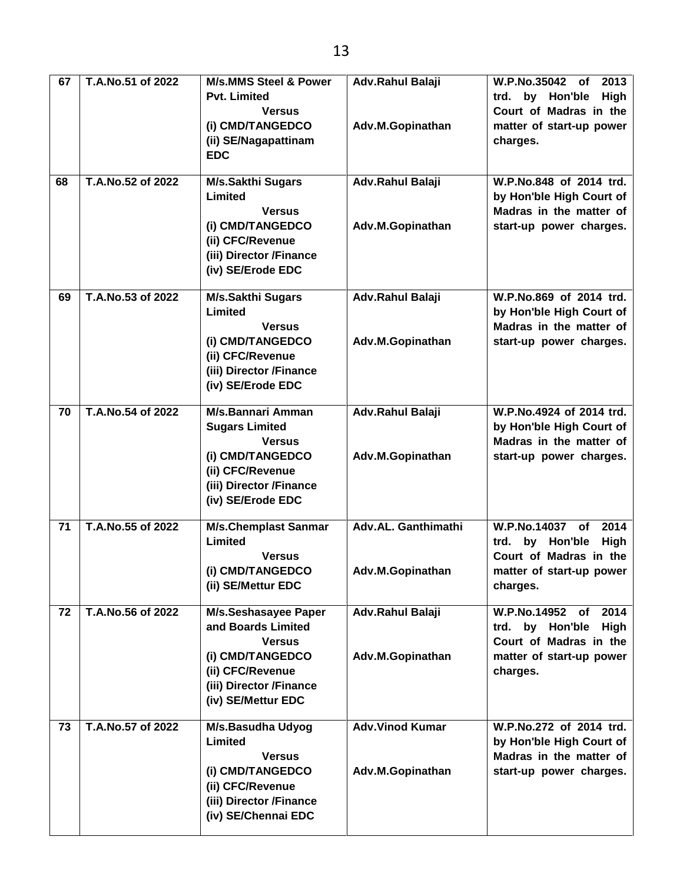| 67 | T.A.No.51 of 2022 | <b>M/s.MMS Steel &amp; Power</b><br><b>Pvt. Limited</b><br><b>Versus</b><br>(i) CMD/TANGEDCO                                            | Adv.Rahul Balaji<br>Adv.M.Gopinathan       | W.P.No.35042<br>2013<br>of<br>High<br>trd. by Hon'ble<br>Court of Madras in the<br>matter of start-up power             |
|----|-------------------|-----------------------------------------------------------------------------------------------------------------------------------------|--------------------------------------------|-------------------------------------------------------------------------------------------------------------------------|
|    |                   | (ii) SE/Nagapattinam<br><b>EDC</b>                                                                                                      |                                            | charges.                                                                                                                |
| 68 | T.A.No.52 of 2022 | M/s.Sakthi Sugars<br>Limited<br><b>Versus</b><br>(i) CMD/TANGEDCO                                                                       | Adv.Rahul Balaji<br>Adv.M.Gopinathan       | W.P.No.848 of 2014 trd.<br>by Hon'ble High Court of<br>Madras in the matter of<br>start-up power charges.               |
|    |                   | (ii) CFC/Revenue<br>(iii) Director /Finance<br>(iv) SE/Erode EDC                                                                        |                                            |                                                                                                                         |
| 69 | T.A.No.53 of 2022 | M/s.Sakthi Sugars<br>Limited<br><b>Versus</b>                                                                                           | Adv.Rahul Balaji                           | W.P.No.869 of 2014 trd.<br>by Hon'ble High Court of<br>Madras in the matter of                                          |
|    |                   | (i) CMD/TANGEDCO<br>(ii) CFC/Revenue<br>(iii) Director /Finance<br>(iv) SE/Erode EDC                                                    | Adv.M.Gopinathan                           | start-up power charges.                                                                                                 |
| 70 | T.A.No.54 of 2022 | M/s.Bannari Amman<br><b>Sugars Limited</b>                                                                                              | Adv.Rahul Balaji                           | W.P.No.4924 of 2014 trd.<br>by Hon'ble High Court of                                                                    |
|    |                   | <b>Versus</b><br>(i) CMD/TANGEDCO<br>(ii) CFC/Revenue<br>(iii) Director /Finance<br>(iv) SE/Erode EDC                                   | Adv.M.Gopinathan                           | Madras in the matter of<br>start-up power charges.                                                                      |
| 71 | T.A.No.55 of 2022 | <b>M/s.Chemplast Sanmar</b><br>Limited<br><b>Versus</b><br>(i) CMD/TANGEDCO<br>(ii) SE/Mettur EDC                                       | Adv.AL. Ganthimathi<br>Adv.M.Gopinathan    | W.P.No.14037<br>2014<br>of<br>trd. by Hon'ble<br>High<br>Court of Madras in the<br>matter of start-up power<br>charges. |
| 72 | T.A.No.56 of 2022 | M/s.Seshasayee Paper<br>and Boards Limited<br><b>Versus</b><br>(i) CMD/TANGEDCO<br>(ii) CFC/Revenue<br>(iii) Director /Finance          | Adv.Rahul Balaji<br>Adv.M.Gopinathan       | W.P.No.14952 of 2014<br>trd. by Hon'ble High<br>Court of Madras in the<br>matter of start-up power<br>charges.          |
|    |                   | (iv) SE/Mettur EDC                                                                                                                      |                                            |                                                                                                                         |
| 73 | T.A.No.57 of 2022 | M/s.Basudha Udyog<br>Limited<br><b>Versus</b><br>(i) CMD/TANGEDCO<br>(ii) CFC/Revenue<br>(iii) Director /Finance<br>(iv) SE/Chennai EDC | <b>Adv.Vinod Kumar</b><br>Adv.M.Gopinathan | W.P.No.272 of 2014 trd.<br>by Hon'ble High Court of<br>Madras in the matter of<br>start-up power charges.               |